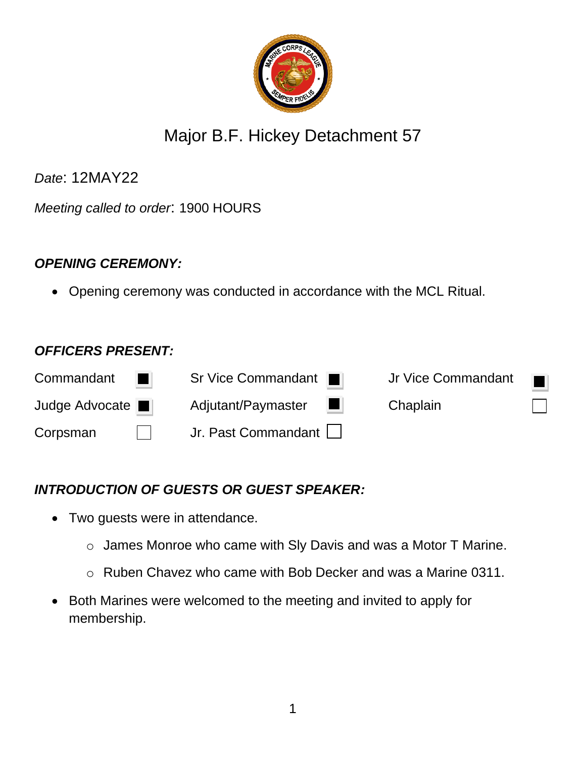

# Major B.F. Hickey Detachment 57

*Date*: 12MAY22

*Meeting called to order*: 1900 HOURS

# *OPENING CEREMONY:*

• Opening ceremony was conducted in accordance with the MCL Ritual.

#### *OFFICERS PRESENT:*

| Commandant<br>٠ | Sr Vice Commandant                                                                                                                          | Jr Vice Commandant<br>$\blacksquare$ |
|-----------------|---------------------------------------------------------------------------------------------------------------------------------------------|--------------------------------------|
| Judge Advocate  | Adjutant/Paymaster<br><b>The Contract of the Contract of the Contract of the Contract of the Contract of the Contract of the Contract o</b> | Chaplain                             |
| Corpsman        | Jr. Past Commandant                                                                                                                         |                                      |

# *INTRODUCTION OF GUESTS OR GUEST SPEAKER:*

- Two guests were in attendance.
	- o James Monroe who came with Sly Davis and was a Motor T Marine.
	- o Ruben Chavez who came with Bob Decker and was a Marine 0311.
- Both Marines were welcomed to the meeting and invited to apply for membership.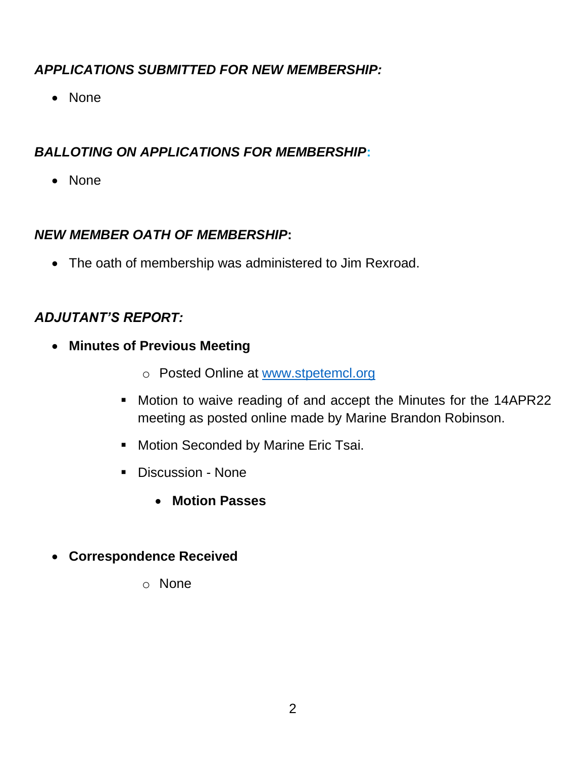# *APPLICATIONS SUBMITTED FOR NEW MEMBERSHIP:*

• None

# *BALLOTING ON APPLICATIONS FOR MEMBERSHIP***:**

• None

#### *NEW MEMBER OATH OF MEMBERSHIP***:**

• The oath of membership was administered to Jim Rexroad.

# *ADJUTANT'S REPORT:*

- **Minutes of Previous Meeting**
	- o Posted Online at [www.stpetemcl.org](http://www.stpetemcl.org/)
	- Motion to waive reading of and accept the Minutes for the 14APR22 meeting as posted online made by Marine Brandon Robinson.
	- Motion Seconded by Marine Eric Tsai.
	- Discussion None
		- **Motion Passes**
- **Correspondence Received** 
	- o None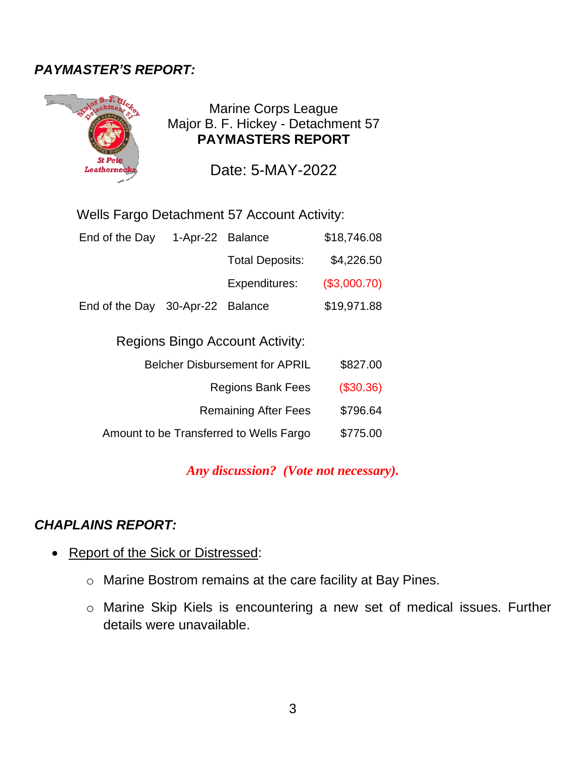# *PAYMASTER'S REPORT:*



Marine Corps League Major B. F. Hickey - Detachment 57 **PAYMASTERS REPORT**

Date: 5-MAY-2022

#### Wells Fargo Detachment 57 Account Activity:

| End of the Day                          | 1-Apr-22 Balance |                             | \$18,746.08  |  |
|-----------------------------------------|------------------|-----------------------------|--------------|--|
|                                         |                  | <b>Total Deposits:</b>      | \$4,226.50   |  |
|                                         |                  | Expenditures:               | (\$3,000.70) |  |
| End of the Day 30-Apr-22 Balance        |                  |                             | \$19,971.88  |  |
| <b>Regions Bingo Account Activity:</b>  |                  |                             |              |  |
| <b>Belcher Disbursement for APRIL</b>   |                  | \$827.00                    |              |  |
| <b>Regions Bank Fees</b>                |                  |                             | (\$30.36)    |  |
|                                         |                  | <b>Remaining After Fees</b> | \$796.64     |  |
| Amount to be Transferred to Wells Fargo |                  |                             | \$775.00     |  |

#### *Any discussion? (Vote not necessary).*

#### *CHAPLAINS REPORT:*

- Report of the Sick or Distressed:
	- o Marine Bostrom remains at the care facility at Bay Pines.
	- o Marine Skip Kiels is encountering a new set of medical issues. Further details were unavailable.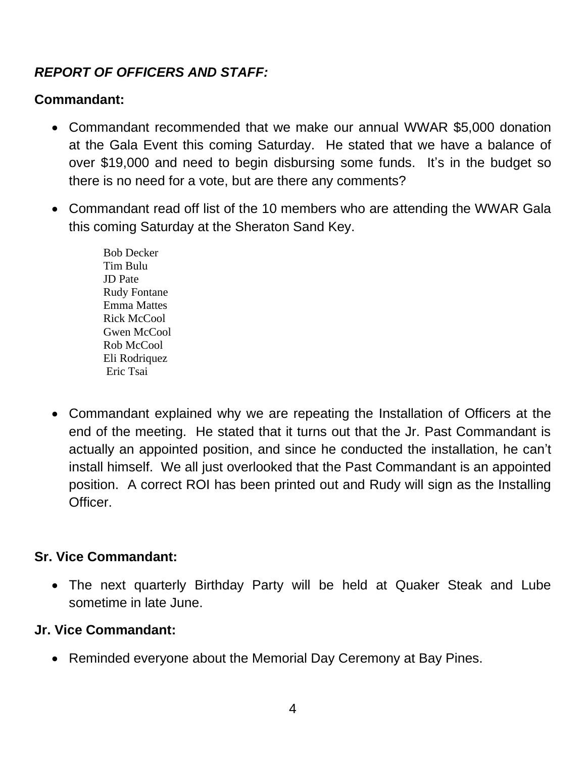# *REPORT OF OFFICERS AND STAFF:*

### **Commandant:**

- Commandant recommended that we make our annual WWAR \$5,000 donation at the Gala Event this coming Saturday. He stated that we have a balance of over \$19,000 and need to begin disbursing some funds. It's in the budget so there is no need for a vote, but are there any comments?
- Commandant read off list of the 10 members who are attending the WWAR Gala this coming Saturday at the Sheraton Sand Key.
	- Bob Decker Tim Bulu JD Pate Rudy Fontane Emma Mattes Rick McCool Gwen McCool Rob McCool Eli Rodriquez Eric Tsai
- Commandant explained why we are repeating the Installation of Officers at the end of the meeting. He stated that it turns out that the Jr. Past Commandant is actually an appointed position, and since he conducted the installation, he can't install himself. We all just overlooked that the Past Commandant is an appointed position. A correct ROI has been printed out and Rudy will sign as the Installing **Officer**

#### **Sr. Vice Commandant:**

• The next quarterly Birthday Party will be held at Quaker Steak and Lube sometime in late June.

#### **Jr. Vice Commandant:**

• Reminded everyone about the Memorial Day Ceremony at Bay Pines.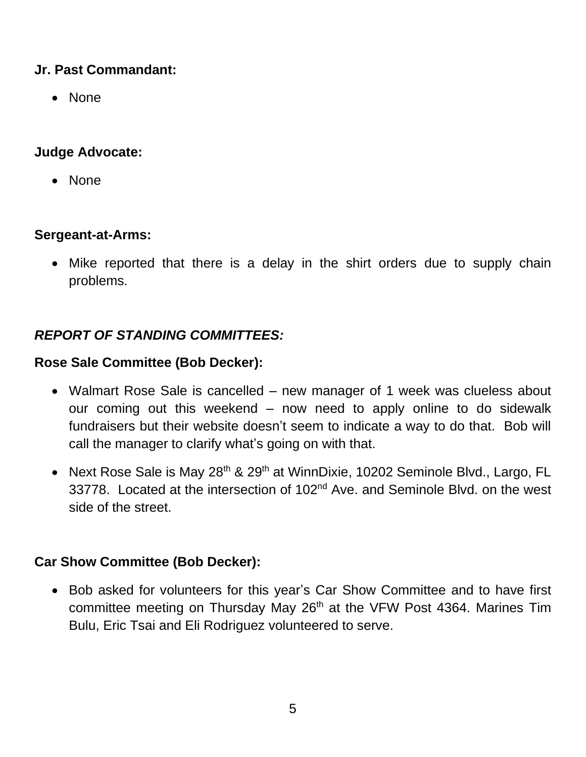#### **Jr. Past Commandant:**

• None

### **Judge Advocate:**

• None

# **Sergeant-at-Arms:**

• Mike reported that there is a delay in the shirt orders due to supply chain problems.

# *REPORT OF STANDING COMMITTEES:*

# **Rose Sale Committee (Bob Decker):**

- Walmart Rose Sale is cancelled new manager of 1 week was clueless about our coming out this weekend – now need to apply online to do sidewalk fundraisers but their website doesn't seem to indicate a way to do that. Bob will call the manager to clarify what's going on with that.
- Next Rose Sale is May 28<sup>th</sup> & 29<sup>th</sup> at WinnDixie, 10202 Seminole Blvd., Largo, FL 33778. Located at the intersection of 102<sup>nd</sup> Ave. and Seminole Blvd. on the west side of the street.

# **Car Show Committee (Bob Decker):**

• Bob asked for volunteers for this year's Car Show Committee and to have first committee meeting on Thursday May 26<sup>th</sup> at the VFW Post 4364. Marines Tim Bulu, Eric Tsai and Eli Rodriguez volunteered to serve.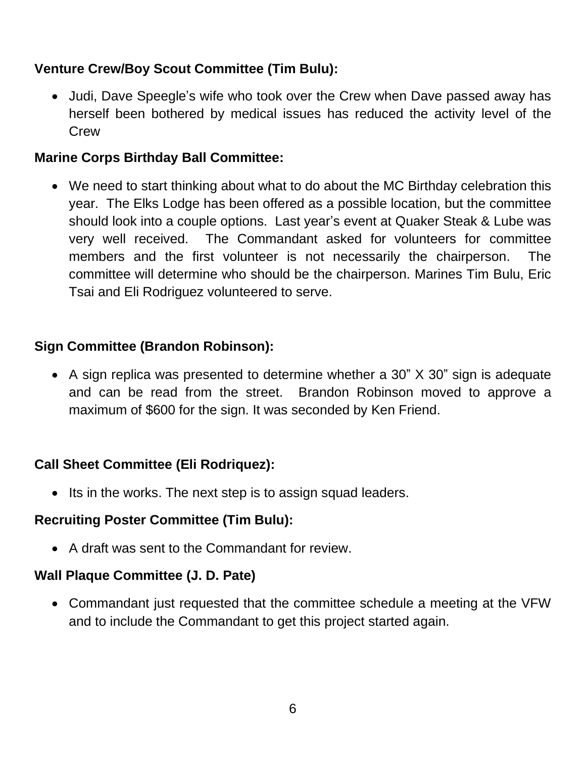#### **Venture Crew/Boy Scout Committee (Tim Bulu):**

• Judi, Dave Speegle's wife who took over the Crew when Dave passed away has herself been bothered by medical issues has reduced the activity level of the **Crew** 

#### **Marine Corps Birthday Ball Committee:**

• We need to start thinking about what to do about the MC Birthday celebration this year. The Elks Lodge has been offered as a possible location, but the committee should look into a couple options. Last year's event at Quaker Steak & Lube was very well received. The Commandant asked for volunteers for committee members and the first volunteer is not necessarily the chairperson. The committee will determine who should be the chairperson. Marines Tim Bulu, Eric Tsai and Eli Rodriguez volunteered to serve.

#### **Sign Committee (Brandon Robinson):**

• A sign replica was presented to determine whether a 30" X 30" sign is adequate and can be read from the street. Brandon Robinson moved to approve a maximum of \$600 for the sign. It was seconded by Ken Friend.

#### **Call Sheet Committee (Eli Rodriquez):**

• Its in the works. The next step is to assign squad leaders.

#### **Recruiting Poster Committee (Tim Bulu):**

• A draft was sent to the Commandant for review.

#### **Wall Plaque Committee (J. D. Pate)**

• Commandant just requested that the committee schedule a meeting at the VFW and to include the Commandant to get this project started again.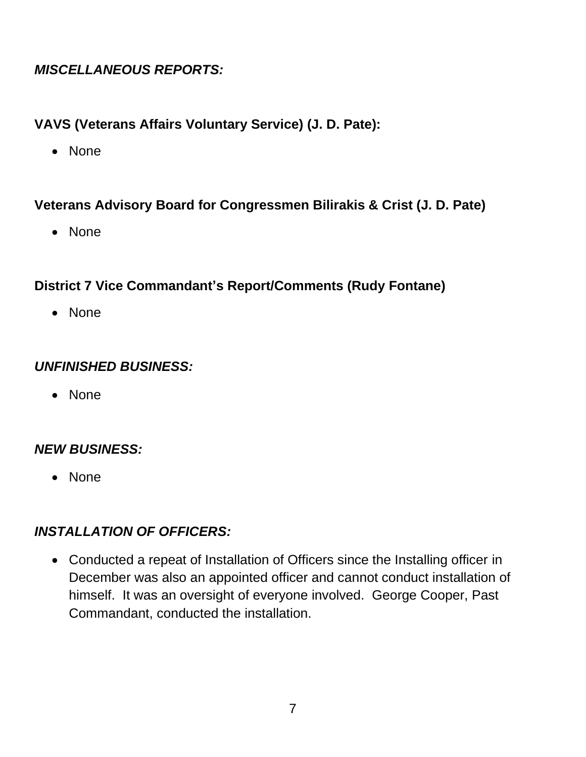### *MISCELLANEOUS REPORTS:*

#### **VAVS (Veterans Affairs Voluntary Service) (J. D. Pate):**

• None

#### **Veterans Advisory Board for Congressmen Bilirakis & Crist (J. D. Pate)**

• None

# **District 7 Vice Commandant's Report/Comments (Rudy Fontane)**

• None

# *UNFINISHED BUSINESS:*

• None

# *NEW BUSINESS:*

• None

# *INSTALLATION OF OFFICERS:*

• Conducted a repeat of Installation of Officers since the Installing officer in December was also an appointed officer and cannot conduct installation of himself. It was an oversight of everyone involved. George Cooper, Past Commandant, conducted the installation.